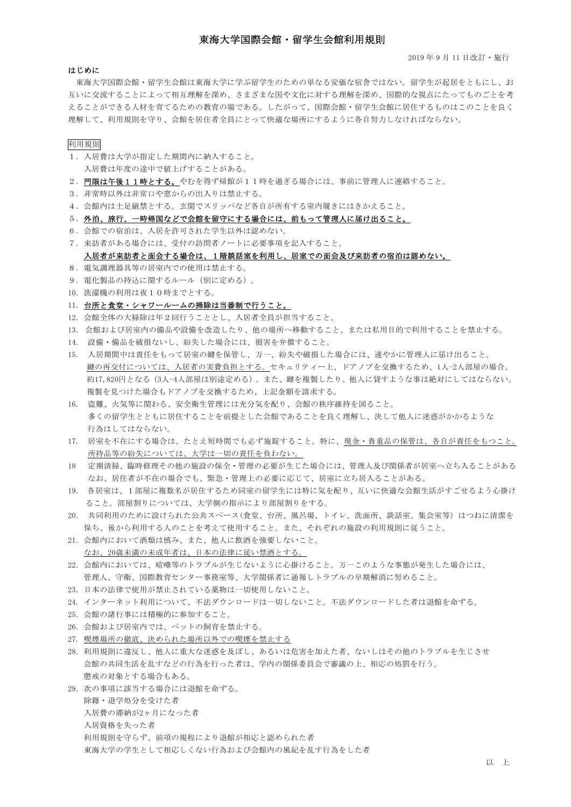## 東海大学国際会館・留学生会館利用規則

2019 年 9 月 11 日改訂・施行

#### はじめに

 東海大学国際会館・留学生会館は東海大学に学ぶ留学生のための単なる安価な宿舎ではない。留学生が起居をともにし、お 互いに交流することによって相互理解を深め、さまざまな国や文化に対する理解を深め、国際的な視点にたってものごとを考 えることができる人材を育てるための教育の場である。したがって、国際会館・留学生会館に居住するものはこのことを良く 理解して、利用規則を守り、会館を居住者全員にとって快適な場所にするように各自努力しなければならない。

### 利用規則

- 1.入居費は大学が指定した期間内に納入すること。 入居費は年度の途中で値上げすることがある。
- 2. 門限は午後11時とする。やむを得ず帰館が11時を過ぎる場合には、事前に管理人に連絡すること。
- 3.非常時以外は非常口や窓からの出入りは禁止する。
- 4.会館内は土足厳禁とする。玄関でスリッパなど各自が所有する室内履きにはきかえること。

### 5.外泊、旅行、一時帰国などで会館を留守にする場合には、前もって管理人に届け出ること。

- 6.会館での宿泊は、入居を許可された学生以外は認めない。
- 7.来訪者がある場合には、受付の訪問者ノートに必要事項を記入すること。

入居者が来訪者と面会する場合は、1階談話室を利用し、居室での面会及び来訪者の宿泊は認めない。

- 8.電気調理器具等の居室内での使用は禁止する。
- 9. 電化製品の持込に関するルール(別に定める)。
- 10.洗濯機の利用は夜10時までとする。

#### 11. 台所と食堂・シャワールームの掃除は当番制で行うこと。

- 12.会館全体の大掃除は年2回行うこととし、入居者全員が担当すること。
- 13. 会館および居室内の備品や設備を改造したり、他の場所へ移動すること、または私用目的で利用することを禁止する。
- 14. 設備・備品を破損ないし、紛失した場合には、損害を弁償すること。
- 15. 入居期間中は責任をもって居室の鍵を保管し、万一、紛失や破損した場合には、速やかに管理人に届け出ること。 鍵の再交付については、入居者の実費負担とする。セキュリティー上、ドアノブを交換するため、1人-2人部屋の場合、 約17,820円となる(3人-4人部屋は別途定める)。また、鍵を複製したり、他人に貸すような事は絶対にしてはならない。 複製を見つけた場合もドアノブを交換するため、上記金額を請求する。
- 16. 盗難、火気等に関わる、安全衛生管理には充分気を配り、会館の秩序維持を図ること。 多くの留学生とともに居住することを前提とした会館であることを良く理解し、決して他人に迷惑がかかるような 行為はしてはならない。
- 17. 居室を不在にする場合は、たとえ短時間でも必ず施錠すること。特に、現金・貴重品の保管は、各自が責任をもつこと。 所持品等の紛失については、大学は一切の責任を負わない。
- 18 定期清掃、臨時修理その他の施設の保全・管理の必要が生じた場合には、管理人及び関係者が居室へ立ち入ることがある なお、居住者が不在の場合でも、緊急・管理上の必要に応じて、居室に立ち居入ることがある。
- 19. 各居室は、1部屋に複数名が居住するため同室の留学生には特に気を配り、互いに快適な会館生活がすごせるよう心掛け ること。部屋割りについては、大学側の指示により部屋割りをする。
- 20. 共同利用のために設けられた公共スペース(食堂、台所、風呂場、トイレ、洗面所、談話室、集会室等) はつねに清潔を 保ち、後から利用する人のことを考えて使用すること。また、それぞれの施設の利用規則に従うこと。
- 21.会館内において酒類は慎み、また、他人に飲酒を強要しないこと。 なお、20歳未満の未成年者は、日本の法律に従い禁酒とする。
- 22.会館内においては、喧嘩等のトラブルが生じないように心掛けること。万一このような事態が発生した場合には、 管理人、守衛、国際教育センター事務室等、大学関係者に通報しトラブルの早期解消に努めること。
- 23.日本の法律で使用が禁止されている薬物は一切使用しないこと。
- 24. インターネット利用について、不法ダウンロードは一切しないこと。不法ダウンロードした者は退館を命ずる。
- 25.会館の諸行事には積極的に参加すること。
- 26.会館および居室内では、ペットの飼育を禁止する。
- 27. 喫煙場所の徹底、決められた場所以外での喫煙を禁止する
- 28. 利用規則に違反し、他人に重大な迷惑を及ぼし、あるいは危害を加えた者、ないしはその他のトラブルを生じさせ 会館の共同生活を乱すなどの行為を行った者は、学内の関係委員会で審議の上、相応の処罰を行う。 懲戒の対象とする場合もある。
- 29.次の事項に該当する場合には退館を命ずる。
	- 除籍・退学処分を受けた者
	- 入居費の滞納が2ヶ月になった者
	- 入居資格を失った者

東海大学の学生として相応しくない行為および会館内の風紀を乱す行為をした者

利用規則を守らず、前項の規程により退館が相応と認められた者